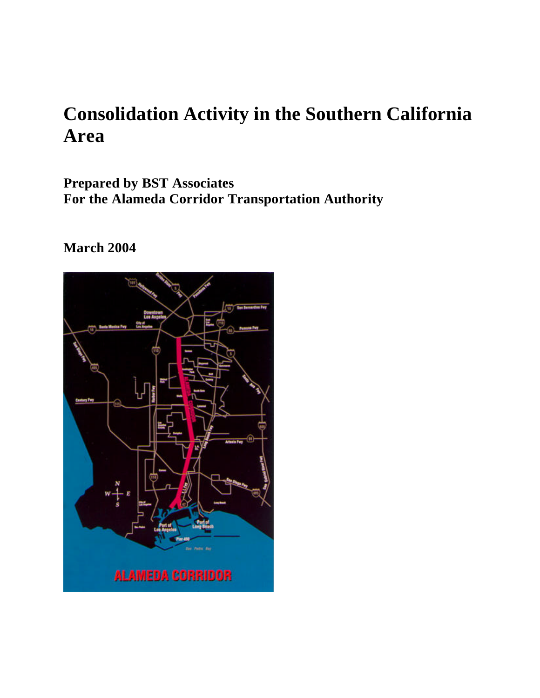# **Consolidation Activity in the Southern California Area**

**Prepared by BST Associates For the Alameda Corridor Transportation Authority**

# **March 2004**

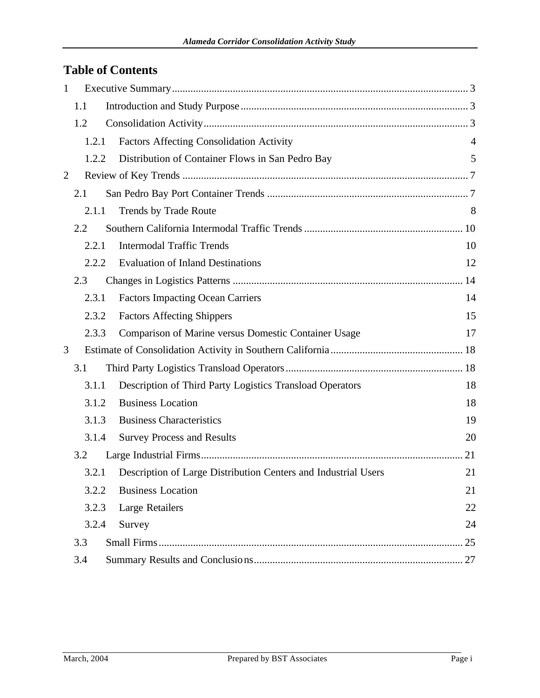# **Table of Contents**

| $\mathbf{1}$ |       |                                                                |    |
|--------------|-------|----------------------------------------------------------------|----|
|              | 1.1   |                                                                |    |
|              | 1.2   |                                                                |    |
|              | 1.2.1 | <b>Factors Affecting Consolidation Activity</b>                | 4  |
|              | 1.2.2 | Distribution of Container Flows in San Pedro Bay               | 5  |
| 2            |       |                                                                |    |
|              | 2.1   |                                                                |    |
|              | 2.1.1 | Trends by Trade Route                                          | 8  |
|              | 2.2   |                                                                |    |
|              | 2.2.1 | <b>Intermodal Traffic Trends</b>                               | 10 |
|              | 2.2.2 | <b>Evaluation of Inland Destinations</b>                       | 12 |
|              | 2.3   |                                                                |    |
|              | 2.3.1 | <b>Factors Impacting Ocean Carriers</b>                        | 14 |
|              | 2.3.2 | <b>Factors Affecting Shippers</b>                              | 15 |
|              | 2.3.3 | Comparison of Marine versus Domestic Container Usage           | 17 |
| 3            |       |                                                                |    |
|              | 3.1   |                                                                |    |
|              | 3.1.1 | Description of Third Party Logistics Transload Operators       | 18 |
|              | 3.1.2 | <b>Business Location</b>                                       | 18 |
|              | 3.1.3 | <b>Business Characteristics</b>                                | 19 |
|              | 3.1.4 | <b>Survey Process and Results</b>                              | 20 |
|              | 3.2   |                                                                | 21 |
|              | 3.2.1 | Description of Large Distribution Centers and Industrial Users | 21 |
|              | 3.2.2 | <b>Business Location</b>                                       | 21 |
|              | 3.2.3 | Large Retailers                                                | 22 |
|              | 3.2.4 | Survey                                                         | 24 |
|              | 3.3   |                                                                | 25 |
|              | 3.4   |                                                                |    |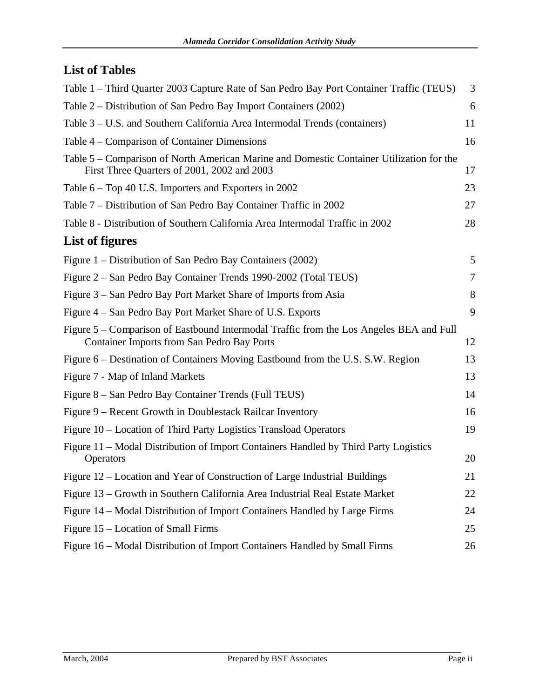# **List of Tables**

| Table 1 – Third Quarter 2003 Capture Rate of San Pedro Bay Port Container Traffic (TEUS)                                                     | 3  |
|----------------------------------------------------------------------------------------------------------------------------------------------|----|
| Table 2 – Distribution of San Pedro Bay Import Containers (2002)                                                                             | 6  |
| Table 3 – U.S. and Southern California Area Intermodal Trends (containers)                                                                   | 11 |
| Table 4 – Comparison of Container Dimensions                                                                                                 | 16 |
| Table 5 – Comparison of North American Marine and Domestic Container Utilization for the<br>First Three Quarters of 2001, 2002 and 2003      | 17 |
| Table 6 – Top 40 U.S. Importers and Exporters in 2002                                                                                        | 23 |
| Table 7 – Distribution of San Pedro Bay Container Traffic in 2002                                                                            | 27 |
| Table 8 - Distribution of Southern California Area Intermodal Traffic in 2002                                                                | 28 |
| List of figures                                                                                                                              |    |
| Figure 1 – Distribution of San Pedro Bay Containers (2002)                                                                                   | 5  |
| Figure 2 – San Pedro Bay Container Trends 1990-2002 (Total TEUS)                                                                             | 7  |
| Figure 3 – San Pedro Bay Port Market Share of Imports from Asia                                                                              | 8  |
| Figure 4 – San Pedro Bay Port Market Share of U.S. Exports                                                                                   | 9  |
| Figure 5 – Comparison of Eastbound Intermodal Traffic from the Los Angeles BEA and Full<br><b>Container Imports from San Pedro Bay Ports</b> | 12 |
| Figure 6 – Destination of Containers Moving Eastbound from the U.S. S.W. Region                                                              | 13 |
| Figure 7 - Map of Inland Markets                                                                                                             | 13 |
| Figure 8 – San Pedro Bay Container Trends (Full TEUS)                                                                                        | 14 |
| Figure 9 – Recent Growth in Doublestack Railcar Inventory                                                                                    | 16 |
| Figure 10 – Location of Third Party Logistics Transload Operators                                                                            | 19 |
| Figure 11 – Modal Distribution of Import Containers Handled by Third Party Logistics<br>Operators                                            | 20 |
| Figure 12 - Location and Year of Construction of Large Industrial Buildings                                                                  | 21 |
| Figure 13 – Growth in Southern California Area Industrial Real Estate Market                                                                 | 22 |
| Figure 14 – Modal Distribution of Import Containers Handled by Large Firms                                                                   | 24 |
| Figure 15 – Location of Small Firms                                                                                                          | 25 |
| Figure 16 – Modal Distribution of Import Containers Handled by Small Firms                                                                   | 26 |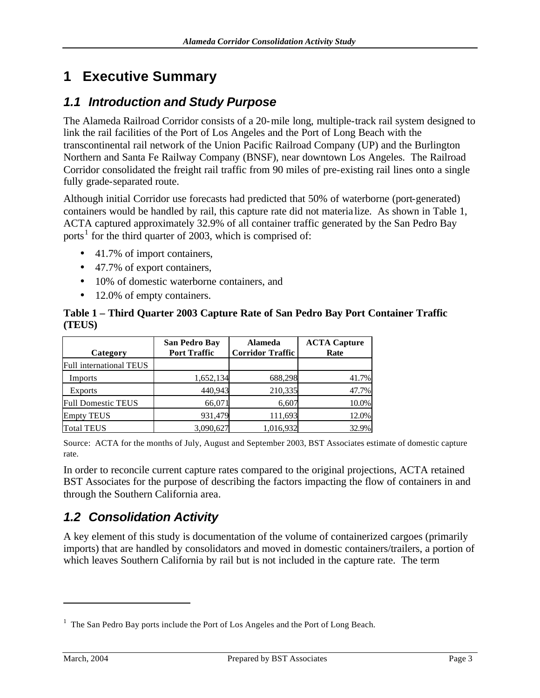# **1 Executive Summary**

### *1.1 Introduction and Study Purpose*

The Alameda Railroad Corridor consists of a 20-mile long, multiple-track rail system designed to link the rail facilities of the Port of Los Angeles and the Port of Long Beach with the transcontinental rail network of the Union Pacific Railroad Company (UP) and the Burlington Northern and Santa Fe Railway Company (BNSF), near downtown Los Angeles. The Railroad Corridor consolidated the freight rail traffic from 90 miles of pre-existing rail lines onto a single fully grade-separated route.

Although initial Corridor use forecasts had predicted that 50% of waterborne (port-generated) containers would be handled by rail, this capture rate did not materia lize. As shown in Table 1, ACTA captured approximately 32.9% of all container traffic generated by the San Pedro Bay ports<sup>1</sup> for the third quarter of 2003, which is comprised of:

- 41.7% of import containers,
- 47.7% of export containers,
- 10% of domestic waterborne containers, and
- 12.0% of empty containers.

#### **Table 1 – Third Quarter 2003 Capture Rate of San Pedro Bay Port Container Traffic (TEUS)**

| Category                  | San Pedro Bay<br><b>Port Traffic</b> | <b>Alameda</b><br><b>Corridor Traffic</b> | <b>ACTA Capture</b><br>Rate |
|---------------------------|--------------------------------------|-------------------------------------------|-----------------------------|
| Full international TEUS   |                                      |                                           |                             |
| Imports                   | 1,652,134                            | 688,298                                   | 41.7%                       |
| <b>Exports</b>            | 440,943                              | 210,335                                   | 47.7%                       |
| <b>Full Domestic TEUS</b> | 66,071                               | 6,607                                     | 10.0%                       |
| <b>Empty TEUS</b>         | 931.479                              | 111,693                                   | 12.0%                       |
| <b>Total TEUS</b>         | 3,090,627                            | 1,016,932                                 | 32.9%                       |

Source: ACTA for the months of July, August and September 2003, BST Associates estimate of domestic capture rate.

In order to reconcile current capture rates compared to the original projections, ACTA retained BST Associates for the purpose of describing the factors impacting the flow of containers in and through the Southern California area.

# *1.2 Consolidation Activity*

A key element of this study is documentation of the volume of containerized cargoes (primarily imports) that are handled by consolidators and moved in domestic containers/trailers, a portion of which leaves Southern California by rail but is not included in the capture rate. The term

<sup>&</sup>lt;sup>1</sup> The San Pedro Bay ports include the Port of Los Angeles and the Port of Long Beach.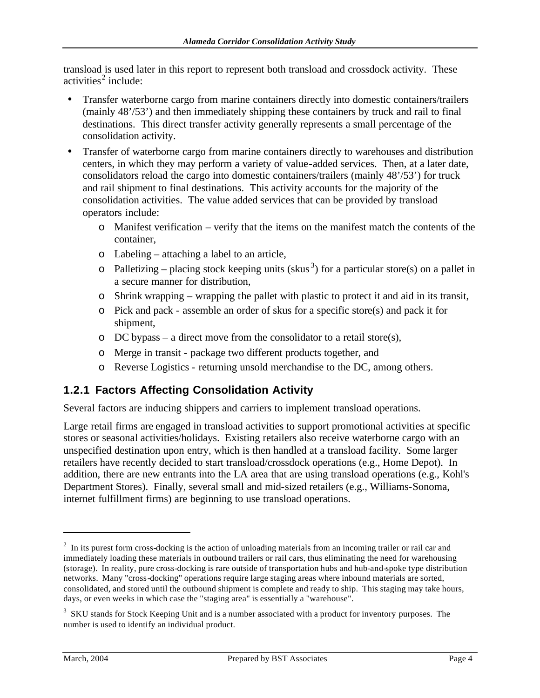transload is used later in this report to represent both transload and crossdock activity. These activities<sup>2</sup> include:

- Transfer waterborne cargo from marine containers directly into domestic containers/trailers (mainly 48'/53') and then immediately shipping these containers by truck and rail to final destinations. This direct transfer activity generally represents a small percentage of the consolidation activity.
- Transfer of waterborne cargo from marine containers directly to warehouses and distribution centers, in which they may perform a variety of value-added services. Then, at a later date, consolidators reload the cargo into domestic containers/trailers (mainly 48'/53') for truck and rail shipment to final destinations. This activity accounts for the majority of the consolidation activities. The value added services that can be provided by transload operators include:
	- o Manifest verification verify that the items on the manifest match the contents of the container,
	- o Labeling attaching a label to an article,
	- $\circ$  Palletizing placing stock keeping units (skus<sup>3</sup>) for a particular store(s) on a pallet in a secure manner for distribution,
	- o Shrink wrapping wrapping the pallet with plastic to protect it and aid in its transit,
	- o Pick and pack assemble an order of skus for a specific store(s) and pack it for shipment,
	- o DC bypass a direct move from the consolidator to a retail store(s),
	- o Merge in transit package two different products together, and
	- o Reverse Logistics returning unsold merchandise to the DC, among others.

## **1.2.1 Factors Affecting Consolidation Activity**

Several factors are inducing shippers and carriers to implement transload operations.

Large retail firms are engaged in transload activities to support promotional activities at specific stores or seasonal activities/holidays. Existing retailers also receive waterborne cargo with an unspecified destination upon entry, which is then handled at a transload facility. Some larger retailers have recently decided to start transload/crossdock operations (e.g., Home Depot). In addition, there are new entrants into the LA area that are using transload operations (e.g., Kohl's Department Stores). Finally, several small and mid-sized retailers (e.g., Williams-Sonoma, internet fulfillment firms) are beginning to use transload operations.

 $2\;$  In its purest form cross-docking is the action of unloading materials from an incoming trailer or rail car and immediately loading these materials in outbound trailers or rail cars, thus eliminating the need for warehousing (storage). In reality, pure cross-docking is rare outside of transportation hubs and hub-and-spoke type distribution networks. Many "cross-docking" operations require large staging areas where inbound materials are sorted, consolidated, and stored until the outbound shipment is complete and ready to ship. This staging may take hours, days, or even weeks in which case the "staging area" is essentially a "warehouse".

<sup>&</sup>lt;sup>3</sup> SKU stands for Stock Keeping Unit and is a number associated with a product for inventory purposes. The number is used to identify an individual product.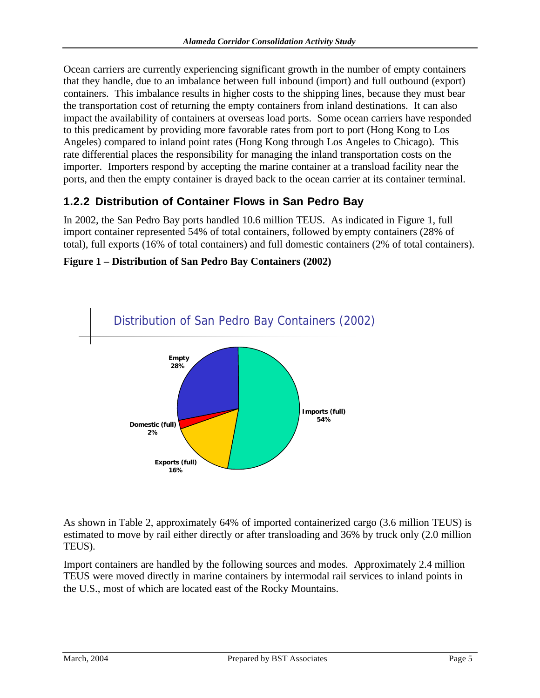Ocean carriers are currently experiencing significant growth in the number of empty containers that they handle, due to an imbalance between full inbound (import) and full outbound (export) containers. This imbalance results in higher costs to the shipping lines, because they must bear the transportation cost of returning the empty containers from inland destinations. It can also impact the availability of containers at overseas load ports. Some ocean carriers have responded to this predicament by providing more favorable rates from port to port (Hong Kong to Los Angeles) compared to inland point rates (Hong Kong through Los Angeles to Chicago). This rate differential places the responsibility for managing the inland transportation costs on the importer. Importers respond by accepting the marine container at a transload facility near the ports, and then the empty container is drayed back to the ocean carrier at its container terminal.

### **1.2.2 Distribution of Container Flows in San Pedro Bay**

In 2002, the San Pedro Bay ports handled 10.6 million TEUS. As indicated in Figure 1, full import container represented 54% of total containers, followed by empty containers (28% of total), full exports (16% of total containers) and full domestic containers (2% of total containers).



#### **Figure 1 – Distribution of San Pedro Bay Containers (2002)**

As shown in Table 2, approximately 64% of imported containerized cargo (3.6 million TEUS) is estimated to move by rail either directly or after transloading and 36% by truck only (2.0 million TEUS).

Import containers are handled by the following sources and modes. Approximately 2.4 million TEUS were moved directly in marine containers by intermodal rail services to inland points in the U.S., most of which are located east of the Rocky Mountains.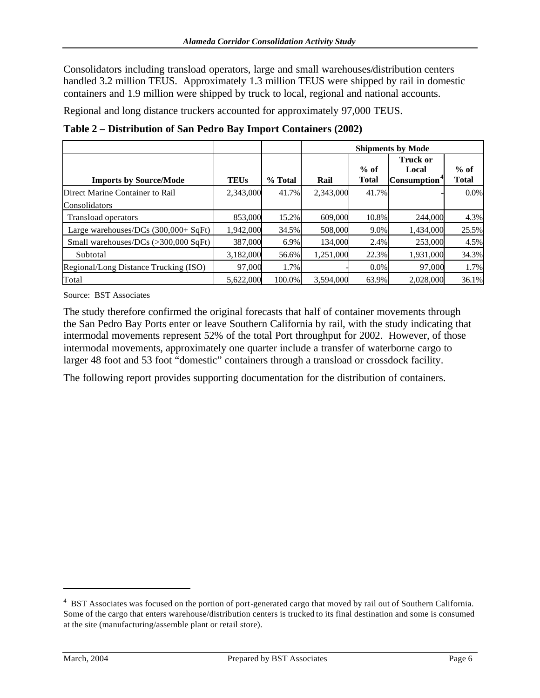Consolidators including transload operators, large and small warehouses/distribution centers handled 3.2 million TEUS. Approximately 1.3 million TEUS were shipped by rail in domestic containers and 1.9 million were shipped by truck to local, regional and national accounts.

Regional and long distance truckers accounted for approximately 97,000 TEUS.

|                                                |             |         | <b>Shipments by Mode</b> |                        |                                               |                        |  |
|------------------------------------------------|-------------|---------|--------------------------|------------------------|-----------------------------------------------|------------------------|--|
| <b>Imports by Source/Mode</b>                  | <b>TEUs</b> | % Total | Rail                     | $%$ of<br><b>Total</b> | Truck or<br>Local<br>Consumption <sup>*</sup> | $%$ of<br><b>Total</b> |  |
| Direct Marine Container to Rail                | 2,343,000   | 41.7%   | 2,343,000                | 41.7%                  |                                               | $0.0\%$                |  |
| Consolidators                                  |             |         |                          |                        |                                               |                        |  |
| Transload operators                            | 853,000     | 15.2%   | 609,000                  | 10.8%                  | 244,000                                       | 4.3%                   |  |
| Large warehouses/DCs $(300,000 + SqFt)$        | 1,942,000   | 34.5%   | 508,000                  | 9.0%                   | 1,434,000                                     | 25.5%                  |  |
| Small warehouses/DCs $(>300,000 \text{ SqFt})$ | 387,000     | 6.9%    | 134,000                  | 2.4%                   | 253,000                                       | 4.5%                   |  |
| Subtotal                                       | 3,182,000   | 56.6%   | 1,251,000                | 22.3%                  | 1,931,000                                     | 34.3%                  |  |
| Regional/Long Distance Trucking (ISO)          | 97,000      | 1.7%    |                          | $0.0\%$                | 97,000                                        | 1.7%                   |  |
| Total                                          | 5.622,000   | 100.0%  | 3,594,000                | 63.9%                  | 2.028.000                                     | 36.1%                  |  |

**Table 2 – Distribution of San Pedro Bay Import Containers (2002)**

Source: BST Associates

The study therefore confirmed the original forecasts that half of container movements through the San Pedro Bay Ports enter or leave Southern California by rail, with the study indicating that intermodal movements represent 52% of the total Port throughput for 2002. However, of those intermodal movements, approximately one quarter include a transfer of waterborne cargo to larger 48 foot and 53 foot "domestic" containers through a transload or crossdock facility.

The following report provides supporting documentation for the distribution of containers.

<sup>&</sup>lt;sup>4</sup> BST Associates was focused on the portion of port-generated cargo that moved by rail out of Southern California. Some of the cargo that enters warehouse/distribution centers is trucked to its final destination and some is consumed at the site (manufacturing/assemble plant or retail store).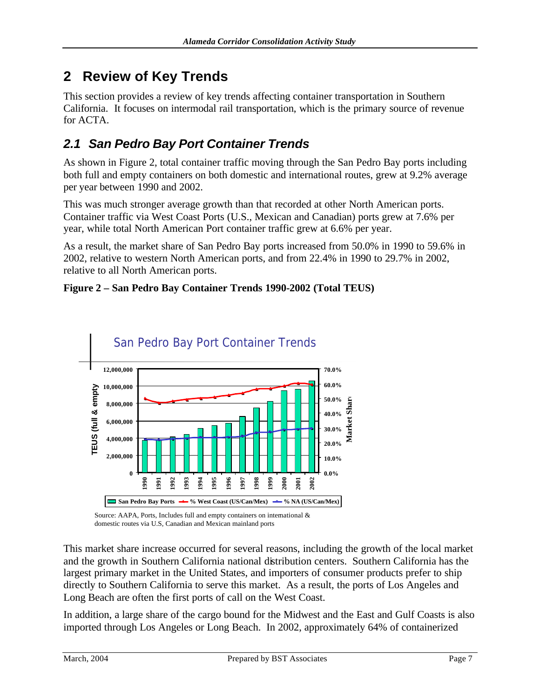# **2 Review of Key Trends**

This section provides a review of key trends affecting container transportation in Southern California. It focuses on intermodal rail transportation, which is the primary source of revenue for ACTA.

# *2.1 San Pedro Bay Port Container Trends*

As shown in Figure 2, total container traffic moving through the San Pedro Bay ports including both full and empty containers on both domestic and international routes, grew at 9.2% average per year between 1990 and 2002.

This was much stronger average growth than that recorded at other North American ports. Container traffic via West Coast Ports (U.S., Mexican and Canadian) ports grew at 7.6% per year, while total North American Port container traffic grew at 6.6% per year.

As a result, the market share of San Pedro Bay ports increased from 50.0% in 1990 to 59.6% in 2002, relative to western North American ports, and from 22.4% in 1990 to 29.7% in 2002, relative to all North American ports.

#### **Figure 2 – San Pedro Bay Container Trends 1990-2002 (Total TEUS)**



Source: AAPA, Ports, Includes full and empty containers on international & domestic routes via U.S, Canadian and Mexican mainland ports

This market share increase occurred for several reasons, including the growth of the local market and the growth in Southern California national distribution centers. Southern California has the largest primary market in the United States, and importers of consumer products prefer to ship directly to Southern California to serve this market. As a result, the ports of Los Angeles and Long Beach are often the first ports of call on the West Coast.

In addition, a large share of the cargo bound for the Midwest and the East and Gulf Coasts is also imported through Los Angeles or Long Beach. In 2002, approximately 64% of containerized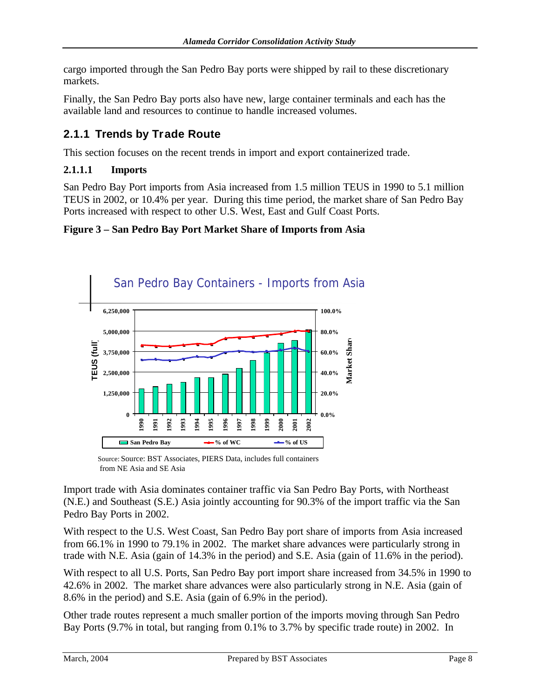cargo imported through the San Pedro Bay ports were shipped by rail to these discretionary markets.

Finally, the San Pedro Bay ports also have new, large container terminals and each has the available land and resources to continue to handle increased volumes.

## **2.1.1 Trends by Trade Route**

This section focuses on the recent trends in import and export containerized trade.

#### **2.1.1.1 Imports**

San Pedro Bay Port imports from Asia increased from 1.5 million TEUS in 1990 to 5.1 million TEUS in 2002, or 10.4% per year. During this time period, the market share of San Pedro Bay Ports increased with respect to other U.S. West, East and Gulf Coast Ports.

#### **Figure 3 – San Pedro Bay Port Market Share of Imports from Asia**



Source: Source: BST Associates, PIERS Data, includes full containers from NE Asia and SE Asia

Import trade with Asia dominates container traffic via San Pedro Bay Ports, with Northeast (N.E.) and Southeast (S.E.) Asia jointly accounting for 90.3% of the import traffic via the San Pedro Bay Ports in 2002.

With respect to the U.S. West Coast, San Pedro Bay port share of imports from Asia increased from 66.1% in 1990 to 79.1% in 2002. The market share advances were particularly strong in trade with N.E. Asia (gain of 14.3% in the period) and S.E. Asia (gain of 11.6% in the period).

With respect to all U.S. Ports, San Pedro Bay port import share increased from 34.5% in 1990 to 42.6% in 2002. The market share advances were also particularly strong in N.E. Asia (gain of 8.6% in the period) and S.E. Asia (gain of 6.9% in the period).

Other trade routes represent a much smaller portion of the imports moving through San Pedro Bay Ports (9.7% in total, but ranging from 0.1% to 3.7% by specific trade route) in 2002. In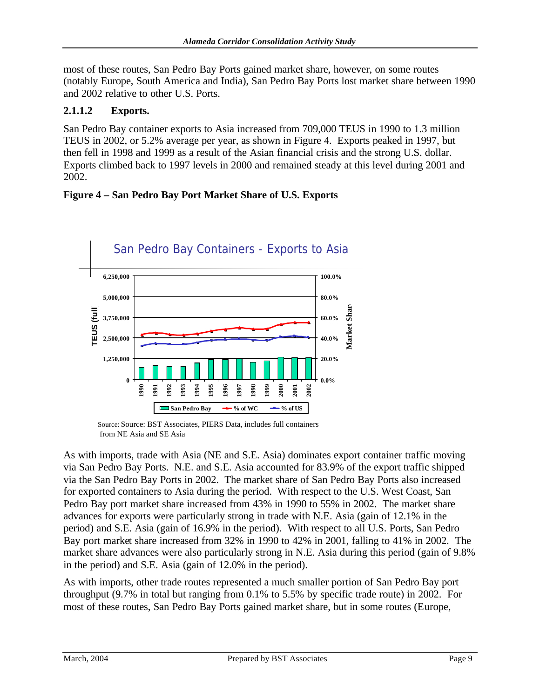most of these routes, San Pedro Bay Ports gained market share, however, on some routes (notably Europe, South America and India), San Pedro Bay Ports lost market share between 1990 and 2002 relative to other U.S. Ports.

#### **2.1.1.2 Exports.**

San Pedro Bay container exports to Asia increased from 709,000 TEUS in 1990 to 1.3 million TEUS in 2002, or 5.2% average per year, as shown in Figure 4. Exports peaked in 1997, but then fell in 1998 and 1999 as a result of the Asian financial crisis and the strong U.S. dollar. Exports climbed back to 1997 levels in 2000 and remained steady at this level during 2001 and 2002.





Source: Source: BST Associates, PIERS Data, includes full containers from NE Asia and SE Asia

As with imports, trade with Asia (NE and S.E. Asia) dominates export container traffic moving via San Pedro Bay Ports. N.E. and S.E. Asia accounted for 83.9% of the export traffic shipped via the San Pedro Bay Ports in 2002. The market share of San Pedro Bay Ports also increased for exported containers to Asia during the period. With respect to the U.S. West Coast, San Pedro Bay port market share increased from 43% in 1990 to 55% in 2002. The market share advances for exports were particularly strong in trade with N.E. Asia (gain of 12.1% in the period) and S.E. Asia (gain of 16.9% in the period). With respect to all U.S. Ports, San Pedro Bay port market share increased from 32% in 1990 to 42% in 2001, falling to 41% in 2002. The market share advances were also particularly strong in N.E. Asia during this period (gain of 9.8% in the period) and S.E. Asia (gain of 12.0% in the period).

As with imports, other trade routes represented a much smaller portion of San Pedro Bay port throughput (9.7% in total but ranging from 0.1% to 5.5% by specific trade route) in 2002. For most of these routes, San Pedro Bay Ports gained market share, but in some routes (Europe,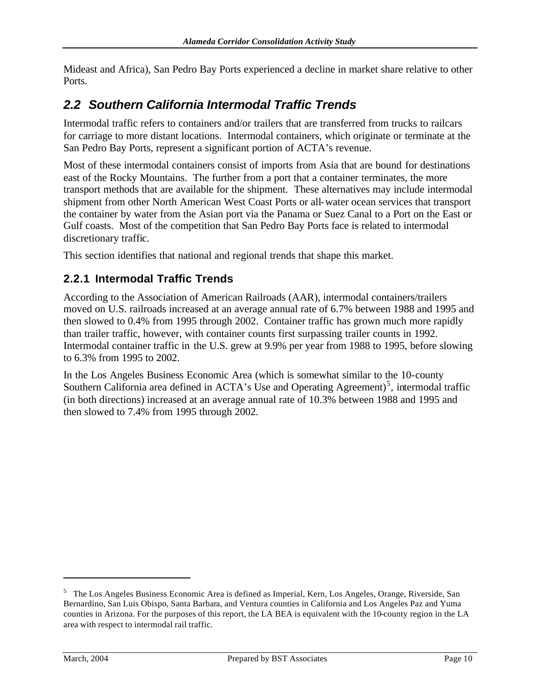Mideast and Africa), San Pedro Bay Ports experienced a decline in market share relative to other Ports.

# *2.2 Southern California Intermodal Traffic Trends*

Intermodal traffic refers to containers and/or trailers that are transferred from trucks to railcars for carriage to more distant locations. Intermodal containers, which originate or terminate at the San Pedro Bay Ports, represent a significant portion of ACTA's revenue.

Most of these intermodal containers consist of imports from Asia that are bound for destinations east of the Rocky Mountains. The further from a port that a container terminates, the more transport methods that are available for the shipment. These alternatives may include intermodal shipment from other North American West Coast Ports or all-water ocean services that transport the container by water from the Asian port via the Panama or Suez Canal to a Port on the East or Gulf coasts. Most of the competition that San Pedro Bay Ports face is related to intermodal discretionary traffic.

This section identifies that national and regional trends that shape this market.

#### **2.2.1 Intermodal Traffic Trends**

According to the Association of American Railroads (AAR), intermodal containers/trailers moved on U.S. railroads increased at an average annual rate of 6.7% between 1988 and 1995 and then slowed to 0.4% from 1995 through 2002. Container traffic has grown much more rapidly than trailer traffic, however, with container counts first surpassing trailer counts in 1992. Intermodal container traffic in the U.S. grew at 9.9% per year from 1988 to 1995, before slowing to 6.3% from 1995 to 2002.

In the Los Angeles Business Economic Area (which is somewhat similar to the 10-county Southern California area defined in ACTA's Use and Operating Agreement)<sup>5</sup>, intermodal traffic (in both directions) increased at an average annual rate of 10.3% between 1988 and 1995 and then slowed to 7.4% from 1995 through 2002.

<sup>&</sup>lt;sup>5</sup> The Los Angeles Business Economic Area is defined as Imperial, Kern, Los Angeles, Orange, Riverside, San Bernardino, San Luis Obispo, Santa Barbara, and Ventura counties in California and Los Angeles Paz and Yuma counties in Arizona. For the purposes of this report, the LA BEA is equivalent with the 10-county region in the LA area with respect to intermodal rail traffic.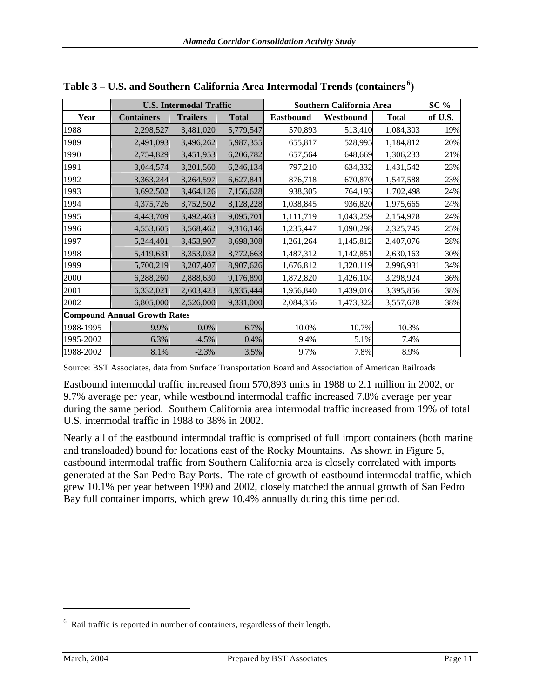|           | <b>U.S. Intermodal Traffic</b>      |                 |              | Southern California Area | $SC\%$    |              |         |
|-----------|-------------------------------------|-----------------|--------------|--------------------------|-----------|--------------|---------|
| Year      | <b>Containers</b>                   | <b>Trailers</b> | <b>Total</b> | <b>Eastbound</b>         | Westbound | <b>Total</b> | of U.S. |
| 1988      | 2,298,527                           | 3,481,020       | 5,779,547    | 570,893                  | 513,410   | 1,084,303    | 19%     |
| 1989      | 2,491,093                           | 3,496,262       | 5,987,355    | 655,817                  | 528,995   | 1,184,812    | 20%     |
| 1990      | 2,754,829                           | 3,451,953       | 6,206,782    | 657,564                  | 648,669   | 1,306,233    | 21%     |
| 1991      | 3,044,574                           | 3,201,560       | 6,246,134    | 797,210                  | 634,332   | 1,431,542    | 23%     |
| 1992      | 3,363,244                           | 3,264,597       | 6,627,841    | 876,718                  | 670,870   | 1,547,588    | 23%     |
| 1993      | 3,692,502                           | 3,464,126       | 7,156,628    | 938,305                  | 764,193   | 1,702,498    | 24%     |
| 1994      | 4,375,726                           | 3,752,502       | 8,128,228    | 1,038,845                | 936,820   | 1,975,665    | 24%     |
| 1995      | 4,443,709                           | 3,492,463       | 9,095,701    | 1,111,719                | 1,043,259 | 2,154,978    | 24%     |
| 1996      | 4,553,605                           | 3,568,462       | 9,316,146    | 1,235,447                | 1,090,298 | 2,325,745    | 25%     |
| 1997      | 5,244,401                           | 3,453,907       | 8,698,308    | 1,261,264                | 1,145,812 | 2,407,076    | 28%     |
| 1998      | 5,419,631                           | 3,353,032       | 8,772,663    | 1,487,312                | 1,142,851 | 2,630,163    | 30%     |
| 1999      | 5,700,219                           | 3,207,407       | 8,907,626    | 1,676,812                | 1,320,119 | 2,996,931    | 34%     |
| 2000      | 6,288,260                           | 2,888,630       | 9,176,890    | 1,872,820                | 1,426,104 | 3,298,924    | 36%     |
| 2001      | 6,332,021                           | 2,603,423       | 8,935,444    | 1,956,840                | 1,439,016 | 3,395,856    | 38%     |
| 2002      | 6,805,000                           | 2,526,000       | 9,331,000    | 2,084,356                | 1,473,322 | 3,557,678    | 38%     |
|           | <b>Compound Annual Growth Rates</b> |                 |              |                          |           |              |         |
| 1988-1995 | 9.9%                                | $0.0\%$         | 6.7%         | 10.0%                    | 10.7%     | 10.3%        |         |
| 1995-2002 | 6.3%                                | $-4.5%$         | 0.4%         | 9.4%                     | 5.1%      | 7.4%         |         |
| 1988-2002 | 8.1%                                | $-2.3%$         | 3.5%         | 9.7%                     | 7.8%      | 8.9%         |         |

**Table 3 – U.S. and Southern California Area Intermodal Trends (containers <sup>6</sup> )**

Source: BST Associates, data from Surface Transportation Board and Association of American Railroads

Eastbound intermodal traffic increased from 570,893 units in 1988 to 2.1 million in 2002, or 9.7% average per year, while westbound intermodal traffic increased 7.8% average per year during the same period. Southern California area intermodal traffic increased from 19% of total U.S. intermodal traffic in 1988 to 38% in 2002.

Nearly all of the eastbound intermodal traffic is comprised of full import containers (both marine and transloaded) bound for locations east of the Rocky Mountains. As shown in Figure 5, eastbound intermodal traffic from Southern California area is closely correlated with imports generated at the San Pedro Bay Ports. The rate of growth of eastbound intermodal traffic, which grew 10.1% per year between 1990 and 2002, closely matched the annual growth of San Pedro Bay full container imports, which grew 10.4% annually during this time period.

 $6$  Rail traffic is reported in number of containers, regardless of their length.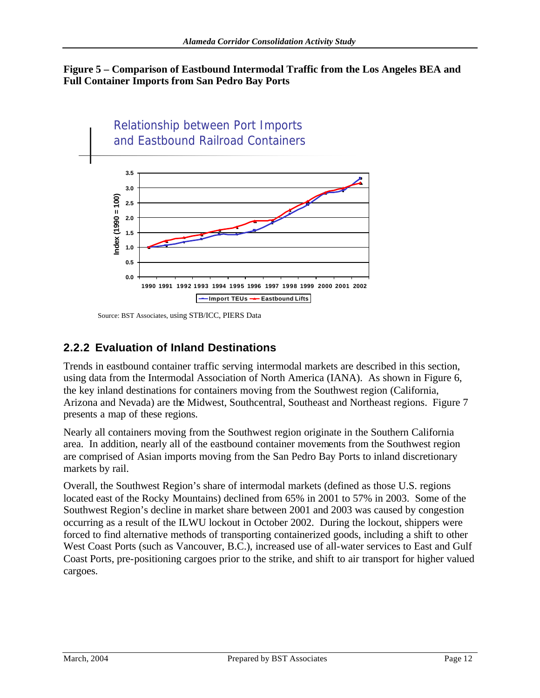#### **Figure 5 – Comparison of Eastbound Intermodal Traffic from the Los Angeles BEA and Full Container Imports from San Pedro Bay Ports**



Source: BST Associates, using STB/ICC, PIERS Data

### **2.2.2 Evaluation of Inland Destinations**

Trends in eastbound container traffic serving intermodal markets are described in this section, using data from the Intermodal Association of North America (IANA). As shown in Figure 6, the key inland destinations for containers moving from the Southwest region (California, Arizona and Nevada) are the Midwest, Southcentral, Southeast and Northeast regions. Figure 7 presents a map of these regions.

Nearly all containers moving from the Southwest region originate in the Southern California area. In addition, nearly all of the eastbound container movements from the Southwest region are comprised of Asian imports moving from the San Pedro Bay Ports to inland discretionary markets by rail.

Overall, the Southwest Region's share of intermodal markets (defined as those U.S. regions located east of the Rocky Mountains) declined from 65% in 2001 to 57% in 2003. Some of the Southwest Region's decline in market share between 2001 and 2003 was caused by congestion occurring as a result of the ILWU lockout in October 2002. During the lockout, shippers were forced to find alternative methods of transporting containerized goods, including a shift to other West Coast Ports (such as Vancouver, B.C.), increased use of all-water services to East and Gulf Coast Ports, pre-positioning cargoes prior to the strike, and shift to air transport for higher valued cargoes.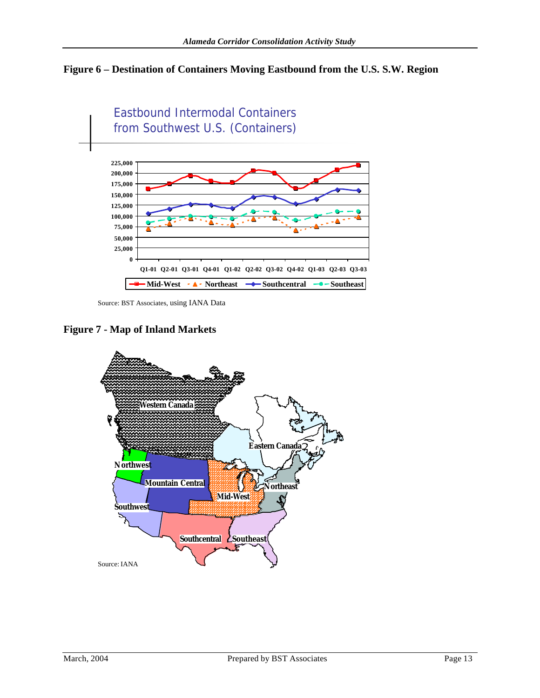# **Figure 6 – Destination of Containers Moving Eastbound from the U.S. S.W. Region**



Source: BST Associates, using IANA Data

**Figure 7 - Map of Inland Markets**

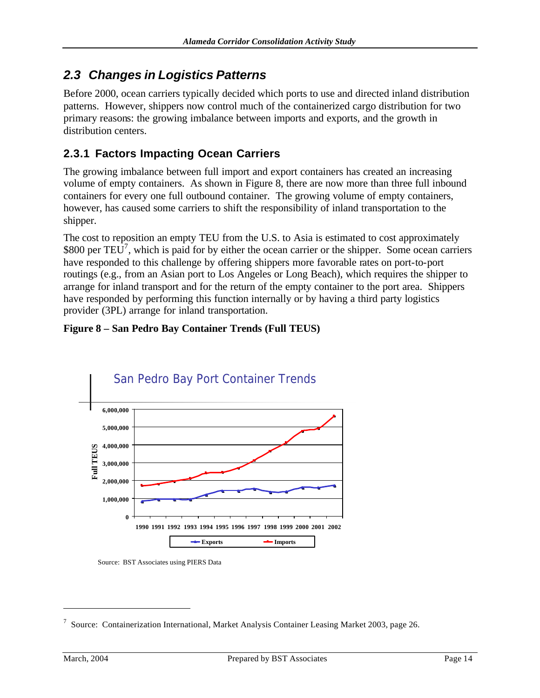# *2.3 Changes in Logistics Patterns*

Before 2000, ocean carriers typically decided which ports to use and directed inland distribution patterns. However, shippers now control much of the containerized cargo distribution for two primary reasons: the growing imbalance between imports and exports, and the growth in distribution centers.

### **2.3.1 Factors Impacting Ocean Carriers**

The growing imbalance between full import and export containers has created an increasing volume of empty containers. As shown in Figure 8, there are now more than three full inbound containers for every one full outbound container. The growing volume of empty containers, however, has caused some carriers to shift the responsibility of inland transportation to the shipper.

The cost to reposition an empty TEU from the U.S. to Asia is estimated to cost approximately \$800 per  $TEU^7$ , which is paid for by either the ocean carrier or the shipper. Some ocean carriers have responded to this challenge by offering shippers more favorable rates on port-to-port routings (e.g., from an Asian port to Los Angeles or Long Beach), which requires the shipper to arrange for inland transport and for the return of the empty container to the port area. Shippers have responded by performing this function internally or by having a third party logistics provider (3PL) arrange for inland transportation.

#### **Figure 8 – San Pedro Bay Container Trends (Full TEUS)**



Source: BST Associates using PIERS Data

<sup>&</sup>lt;sup>7</sup> Source: Containerization International, Market Analysis Container Leasing Market 2003, page 26.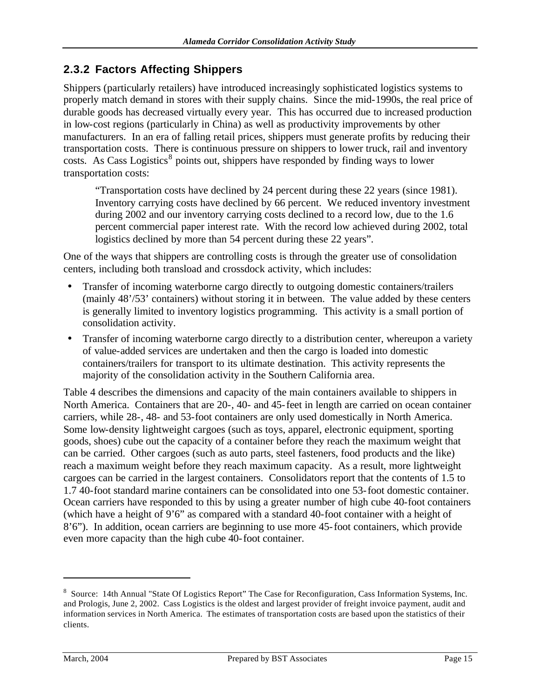### **2.3.2 Factors Affecting Shippers**

Shippers (particularly retailers) have introduced increasingly sophisticated logistics systems to properly match demand in stores with their supply chains. Since the mid-1990s, the real price of durable goods has decreased virtually every year. This has occurred due to increased production in low-cost regions (particularly in China) as well as productivity improvements by other manufacturers. In an era of falling retail prices, shippers must generate profits by reducing their transportation costs. There is continuous pressure on shippers to lower truck, rail and inventory  $\cos$ . As Cass Logistics<sup>8</sup> points out, shippers have responded by finding ways to lower transportation costs:

"Transportation costs have declined by 24 percent during these 22 years (since 1981). Inventory carrying costs have declined by 66 percent. We reduced inventory investment during 2002 and our inventory carrying costs declined to a record low, due to the 1.6 percent commercial paper interest rate. With the record low achieved during 2002, total logistics declined by more than 54 percent during these 22 years".

One of the ways that shippers are controlling costs is through the greater use of consolidation centers, including both transload and crossdock activity, which includes:

- Transfer of incoming waterborne cargo directly to outgoing domestic containers/trailers (mainly 48'/53' containers) without storing it in between. The value added by these centers is generally limited to inventory logistics programming. This activity is a small portion of consolidation activity.
- Transfer of incoming waterborne cargo directly to a distribution center, whereupon a variety of value-added services are undertaken and then the cargo is loaded into domestic containers/trailers for transport to its ultimate destination. This activity represents the majority of the consolidation activity in the Southern California area.

Table 4 describes the dimensions and capacity of the main containers available to shippers in North America. Containers that are 20-, 40- and 45-feet in length are carried on ocean container carriers, while 28-, 48- and 53-foot containers are only used domestically in North America. Some low-density lightweight cargoes (such as toys, apparel, electronic equipment, sporting goods, shoes) cube out the capacity of a container before they reach the maximum weight that can be carried. Other cargoes (such as auto parts, steel fasteners, food products and the like) reach a maximum weight before they reach maximum capacity. As a result, more lightweight cargoes can be carried in the largest containers. Consolidators report that the contents of 1.5 to 1.7 40-foot standard marine containers can be consolidated into one 53-foot domestic container. Ocean carriers have responded to this by using a greater number of high cube 40-foot containers (which have a height of 9'6" as compared with a standard 40-foot container with a height of 8'6"). In addition, ocean carriers are beginning to use more 45-foot containers, which provide even more capacity than the high cube 40-foot container.

<sup>&</sup>lt;sup>8</sup> Source: 14th Annual "State Of Logistics Report" The Case for Reconfiguration, Cass Information Systems, Inc. and Prologis, June 2, 2002. Cass Logistics is the oldest and largest provider of freight invoice payment, audit and information services in North America. The estimates of transportation costs are based upon the statistics of their clients.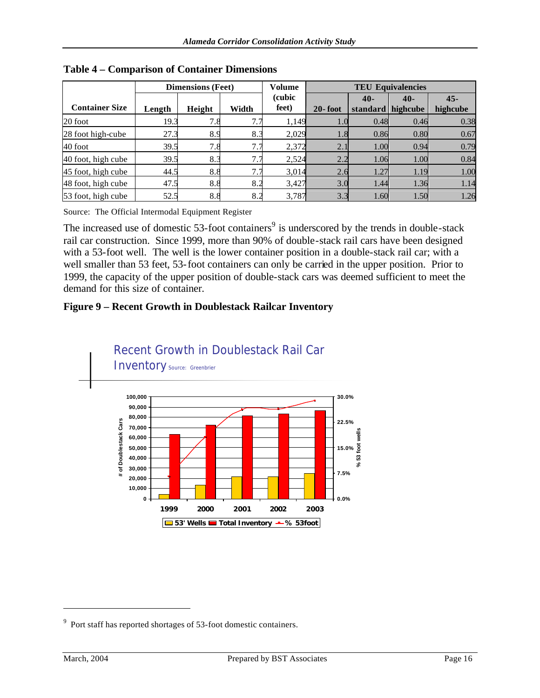|                       | <b>Dimensions (Feet)</b> |        | Volume          | <b>TEU Equivalencies</b> |             |                            |       |                    |
|-----------------------|--------------------------|--------|-----------------|--------------------------|-------------|----------------------------|-------|--------------------|
| <b>Container Size</b> | Length                   | Height | Width           | (cubic<br>feet)          | $20 -$ foot | $40-$<br>standard highcube | $40-$ | $45 -$<br>highcube |
| 20 foot               | 19.3                     | 7.8    | 7.7             | 1,149                    | $1.0\,$     | 0.48                       | 0.46  | 0.38               |
| 28 foot high-cube     | 27.3                     | 8.9    | 8.3             | 2,029                    | $1.8\,$     | 0.86                       | 0.80  | 0.67               |
| 40 foot               | 39.5                     | 7.8    | 7<br>7.7        | 2,372                    | 2.1         | 1.00                       | 0.94  | 0.79               |
| 40 foot, high cube    | 39.5                     | 8.3    | 7<br>$\sqrt{7}$ | 2,524                    | 2.2         | 1.06                       | 1.00  | 0.84               |
| 45 foot, high cube    | 44.5                     | 8.8    | 7.7             | 3,014                    | 2.6         | 1.27                       | 1.19  | 1.00               |
| 48 foot, high cube    | 47.5                     | 8.8    | 8.2             | 3,427                    | 3.0         | 1.44                       | 1.36  | 1.14               |
| 53 foot, high cube    | 52.5                     | 8.8    | 8.2             | 3,787                    | 3.3         | 1.60                       | 1.50  | 1.26               |

**Table 4 – Comparison of Container Dimensions**

Source: The Official Intermodal Equipment Register

The increased use of domestic 53-foot containers<sup>9</sup> is underscored by the trends in double-stack rail car construction. Since 1999, more than 90% of double-stack rail cars have been designed with a 53-foot well. The well is the lower container position in a double-stack rail car; with a well smaller than 53 feet, 53-foot containers can only be carried in the upper position. Prior to 1999, the capacity of the upper position of double-stack cars was deemed sufficient to meet the demand for this size of container.

#### **Figure 9 – Recent Growth in Doublestack Railcar Inventory**



 $9$  Port staff has reported shortages of 53-foot domestic containers.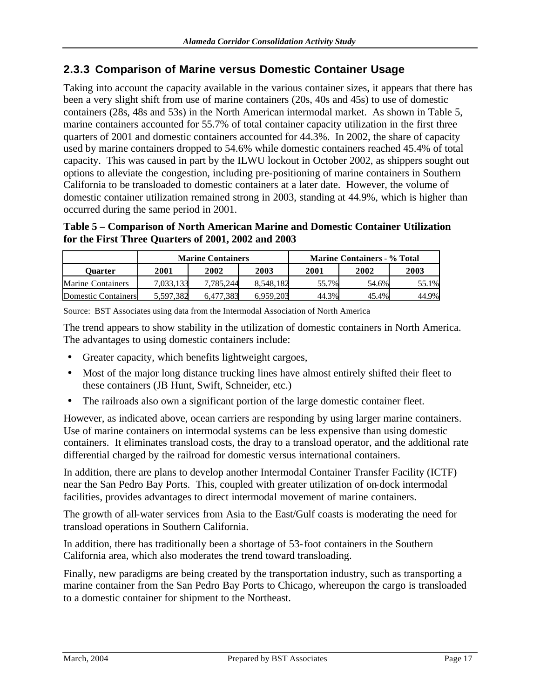### **2.3.3 Comparison of Marine versus Domestic Container Usage**

Taking into account the capacity available in the various container sizes, it appears that there has been a very slight shift from use of marine containers (20s, 40s and 45s) to use of domestic containers (28s, 48s and 53s) in the North American intermodal market. As shown in Table 5, marine containers accounted for 55.7% of total container capacity utilization in the first three quarters of 2001 and domestic containers accounted for 44.3%. In 2002, the share of capacity used by marine containers dropped to 54.6% while domestic containers reached 45.4% of total capacity. This was caused in part by the ILWU lockout in October 2002, as shippers sought out options to alleviate the congestion, including pre-positioning of marine containers in Southern California to be transloaded to domestic containers at a later date. However, the volume of domestic container utilization remained strong in 2003, standing at 44.9%, which is higher than occurred during the same period in 2001.

#### **Table 5 – Comparison of North American Marine and Domestic Container Utilization for the First Three Quarters of 2001, 2002 and 2003**

|                          | <b>Marine Containers</b> |           |           | <b>Marine Containers - % Total</b> |       |       |
|--------------------------|--------------------------|-----------|-----------|------------------------------------|-------|-------|
| Ouarter                  | 2001                     | 2002      | 2003      | 2001                               | 2002  | 2003  |
| <b>Marine Containers</b> | 7,033,133                | 7.785.244 | 8.548.182 | 55.7%                              | 54.6% | 55.1% |
| Domestic Containers      | 5.597.382                | 6.477.383 | 6.959.203 | 44.3%                              | 45.4% | 44.9% |

Source: BST Associates using data from the Intermodal Association of North America

The trend appears to show stability in the utilization of domestic containers in North America. The advantages to using domestic containers include:

- Greater capacity, which benefits lightweight cargoes,
- Most of the major long distance trucking lines have almost entirely shifted their fleet to these containers (JB Hunt, Swift, Schneider, etc.)
- The railroads also own a significant portion of the large domestic container fleet.

However, as indicated above, ocean carriers are responding by using larger marine containers. Use of marine containers on intermodal systems can be less expensive than using domestic containers. It eliminates transload costs, the dray to a transload operator, and the additional rate differential charged by the railroad for domestic versus international containers.

In addition, there are plans to develop another Intermodal Container Transfer Facility (ICTF) near the San Pedro Bay Ports. This, coupled with greater utilization of on-dock intermodal facilities, provides advantages to direct intermodal movement of marine containers.

The growth of all-water services from Asia to the East/Gulf coasts is moderating the need for transload operations in Southern California.

In addition, there has traditionally been a shortage of 53-foot containers in the Southern California area, which also moderates the trend toward transloading.

Finally, new paradigms are being created by the transportation industry, such as transporting a marine container from the San Pedro Bay Ports to Chicago, whereupon the cargo is transloaded to a domestic container for shipment to the Northeast.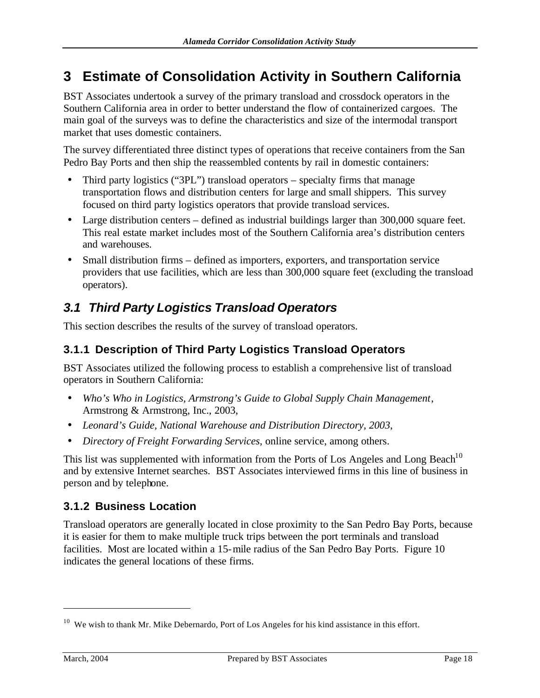# **3 Estimate of Consolidation Activity in Southern California**

BST Associates undertook a survey of the primary transload and crossdock operators in the Southern California area in order to better understand the flow of containerized cargoes. The main goal of the surveys was to define the characteristics and size of the intermodal transport market that uses domestic containers.

The survey differentiated three distinct types of operations that receive containers from the San Pedro Bay Ports and then ship the reassembled contents by rail in domestic containers:

- Third party logistics ("3PL") transload operators specialty firms that manage transportation flows and distribution centers for large and small shippers. This survey focused on third party logistics operators that provide transload services.
- Large distribution centers defined as industrial buildings larger than 300,000 square feet. This real estate market includes most of the Southern California area's distribution centers and warehouses.
- Small distribution firms defined as importers, exporters, and transportation service providers that use facilities, which are less than 300,000 square feet (excluding the transload operators).

# *3.1 Third Party Logistics Transload Operators*

This section describes the results of the survey of transload operators.

### **3.1.1 Description of Third Party Logistics Transload Operators**

BST Associates utilized the following process to establish a comprehensive list of transload operators in Southern California:

- *Who's Who in Logistics, Armstrong's Guide to Global Supply Chain Management*, Armstrong & Armstrong, Inc., 2003,
- *Leonard's Guide, National Warehouse and Distribution Directory, 2003*,
- *Directory of Freight Forwarding Services*, online service, among others.

This list was supplemented with information from the Ports of Los Angeles and Long Beach<sup>10</sup> and by extensive Internet searches. BST Associates interviewed firms in this line of business in person and by telephone.

### **3.1.2 Business Location**

Transload operators are generally located in close proximity to the San Pedro Bay Ports, because it is easier for them to make multiple truck trips between the port terminals and transload facilities. Most are located within a 15-mile radius of the San Pedro Bay Ports. Figure 10 indicates the general locations of these firms.

<sup>&</sup>lt;sup>10</sup> We wish to thank Mr. Mike Debernardo, Port of Los Angeles for his kind assistance in this effort.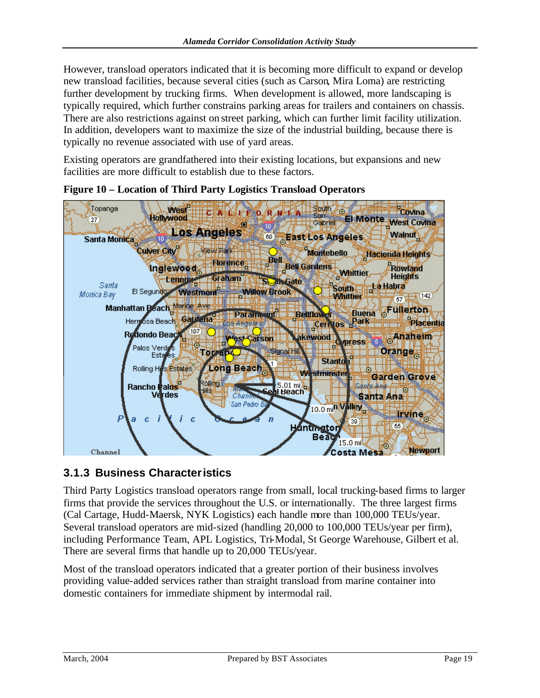However, transload operators indicated that it is becoming more difficult to expand or develop new transload facilities, because several cities (such as Carson, Mira Loma) are restricting further development by trucking firms. When development is allowed, more landscaping is typically required, which further constrains parking areas for trailers and containers on chassis. There are also restrictions against on street parking, which can further limit facility utilization. In addition, developers want to maximize the size of the industrial building, because there is typically no revenue associated with use of yard areas.

Existing operators are grandfathered into their existing locations, but expansions and new facilities are more difficult to establish due to these factors.



**Figure 10 – Location of Third Party Logistics Transload Operators**

### **3.1.3 Business Characteristics**

Third Party Logistics transload operators range from small, local trucking-based firms to larger firms that provide the services throughout the U.S. or internationally. The three largest firms (Cal Cartage, Hudd-Maersk, NYK Logistics) each handle more than 100,000 TEUs/year. Several transload operators are mid-sized (handling 20,000 to 100,000 TEUs/year per firm), including Performance Team, APL Logistics, Tri-Modal, St George Warehouse, Gilbert et al. There are several firms that handle up to 20,000 TEUs/year.

Most of the transload operators indicated that a greater portion of their business involves providing value-added services rather than straight transload from marine container into domestic containers for immediate shipment by intermodal rail.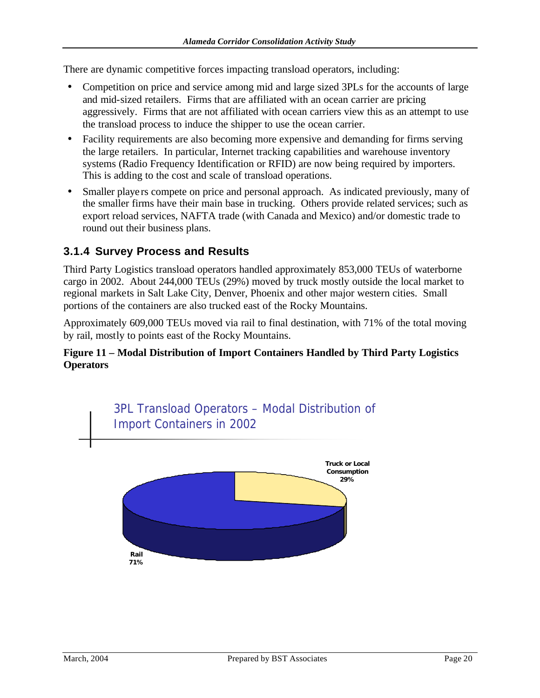There are dynamic competitive forces impacting transload operators, including:

- Competition on price and service among mid and large sized 3PLs for the accounts of large and mid-sized retailers. Firms that are affiliated with an ocean carrier are pricing aggressively. Firms that are not affiliated with ocean carriers view this as an attempt to use the transload process to induce the shipper to use the ocean carrier.
- Facility requirements are also becoming more expensive and demanding for firms serving the large retailers. In particular, Internet tracking capabilities and warehouse inventory systems (Radio Frequency Identification or RFID) are now being required by importers. This is adding to the cost and scale of transload operations.
- Smaller players compete on price and personal approach. As indicated previously, many of the smaller firms have their main base in trucking. Others provide related services; such as export reload services, NAFTA trade (with Canada and Mexico) and/or domestic trade to round out their business plans.

### **3.1.4 Survey Process and Results**

Third Party Logistics transload operators handled approximately 853,000 TEUs of waterborne cargo in 2002. About 244,000 TEUs (29%) moved by truck mostly outside the local market to regional markets in Salt Lake City, Denver, Phoenix and other major western cities. Small portions of the containers are also trucked east of the Rocky Mountains.

Approximately 609,000 TEUs moved via rail to final destination, with 71% of the total moving by rail, mostly to points east of the Rocky Mountains.

#### **Figure 11 – Modal Distribution of Import Containers Handled by Third Party Logistics Operators**

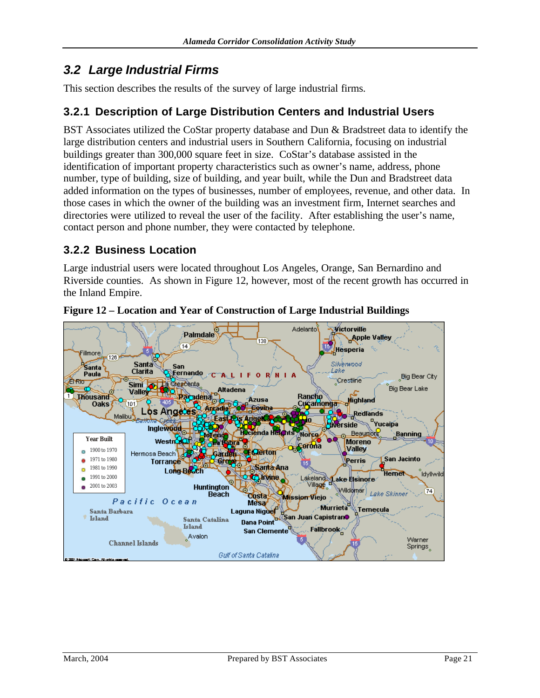# *3.2 Large Industrial Firms*

This section describes the results of the survey of large industrial firms.

### **3.2.1 Description of Large Distribution Centers and Industrial Users**

BST Associates utilized the CoStar property database and Dun & Bradstreet data to identify the large distribution centers and industrial users in Southern California, focusing on industrial buildings greater than 300,000 square feet in size. CoStar's database assisted in the identification of important property characteristics such as owner's name, address, phone number, type of building, size of building, and year built, while the Dun and Bradstreet data added information on the types of businesses, number of employees, revenue, and other data. In those cases in which the owner of the building was an investment firm, Internet searches and directories were utilized to reveal the user of the facility. After establishing the user's name, contact person and phone number, they were contacted by telephone.

### **3.2.2 Business Location**

Large industrial users were located throughout Los Angeles, Orange, San Bernardino and Riverside counties. As shown in Figure 12, however, most of the recent growth has occurred in the Inland Empire.



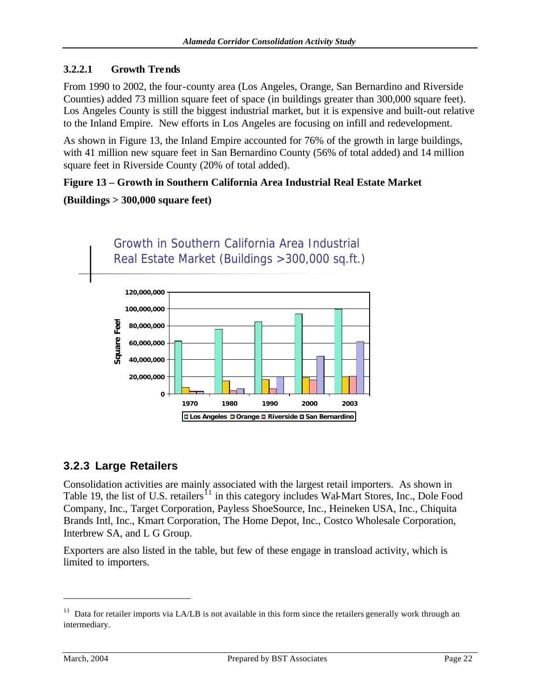#### **3.2.2.1 Growth Trends**

From 1990 to 2002, the four-county area (Los Angeles, Orange, San Bernardino and Riverside Counties) added 73 million square feet of space (in buildings greater than 300,000 square feet). Los Angeles County is still the biggest industrial market, but it is expensive and built-out relative to the Inland Empire. New efforts in Los Angeles are focusing on infill and redevelopment.

As shown in Figure 13, the Inland Empire accounted for 76% of the growth in large buildings, with 41 million new square feet in San Bernardino County (56% of total added) and 14 million square feet in Riverside County (20% of total added).

#### **Figure 13 – Growth in Southern California Area Industrial Real Estate Market**

#### **(Buildings > 300,000 square feet)**



### **3.2.3 Large Retailers**

Consolidation activities are mainly associated with the largest retail importers. As shown in Table 19, the list of U.S. retailers<sup>11</sup> in this category includes Wal-Mart Stores, Inc., Dole Food Company, Inc., Target Corporation, Payless ShoeSource, Inc., Heineken USA, Inc., Chiquita Brands Intl, Inc., Kmart Corporation, The Home Depot, Inc., Costco Wholesale Corporation, Interbrew SA, and L G Group.

Exporters are also listed in the table, but few of these engage in transload activity, which is limited to importers.

<sup>&</sup>lt;sup>11</sup> Data for retailer imports via LA/LB is not available in this form since the retailers generally work through an intermediary.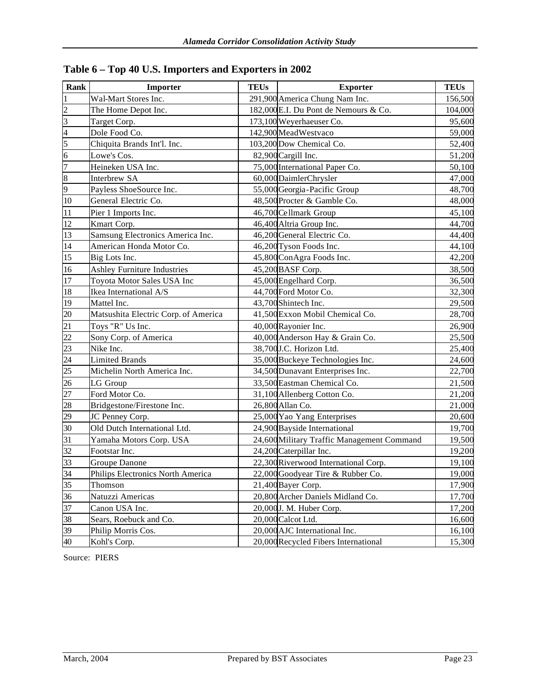| Rank                    | Importer                             | <b>TEUs</b> | <b>Exporter</b>                            | <b>TEUs</b> |
|-------------------------|--------------------------------------|-------------|--------------------------------------------|-------------|
| $\mathbf{1}$            | Wal-Mart Stores Inc.                 |             | 291,900 America Chung Nam Inc.             | 156,500     |
| $\overline{c}$          | The Home Depot Inc.                  |             | 182,000 E.I. Du Pont de Nemours & Co.      | 104,000     |
| $\overline{\mathbf{3}}$ | Target Corp.                         |             | 173,100 Weyerhaeuser Co.                   | 95,600      |
| $\overline{4}$          | Dole Food Co.                        |             | 142,900 MeadWestvaco                       | 59,000      |
| 5                       | Chiquita Brands Int'l. Inc.          |             | 103,200 Dow Chemical Co.                   | 52,400      |
| $\overline{6}$          | Lowe's Cos.                          |             | 82,900 Cargill Inc.                        | 51,200      |
| $\overline{7}$          | Heineken USA Inc.                    |             | 75,000 International Paper Co.             | 50,100      |
| $\sqrt{8}$              | <b>Interbrew SA</b>                  |             | 60,000 DaimlerChrysler                     | 47,000      |
| 9                       | Payless ShoeSource Inc.              |             | 55,000 Georgia-Pacific Group               | 48,700      |
| 10                      | General Electric Co.                 |             | 48,500 Procter & Gamble Co.                | 48,000      |
| 11                      | Pier 1 Imports Inc.                  |             | 46,700 Cellmark Group                      | 45,100      |
| 12                      | Kmart Corp.                          |             | 46,400 Altria Group Inc.                   | 44,700      |
| 13                      | Samsung Electronics America Inc.     |             | 46,200 General Electric Co.                | 44,400      |
| $14\,$                  | American Honda Motor Co.             |             | 46,200 Tyson Foods Inc.                    | 44,100      |
| 15                      | Big Lots Inc.                        |             | 45,800 ConAgra Foods Inc.                  | 42,200      |
| 16                      | <b>Ashley Furniture Industries</b>   |             | 45,200 BASF Corp.                          | 38,500      |
| $\overline{17}$         | Toyota Motor Sales USA Inc           |             | 45,000 Engelhard Corp.                     | 36,500      |
| 18                      | Ikea International A/S               |             | 44,700 Ford Motor Co.                      | 32,300      |
| 19                      | Mattel Inc.                          |             | 43,700 Shintech Inc.                       | 29,500      |
| 20                      | Matsushita Electric Corp. of America |             | 41,500 Exxon Mobil Chemical Co.            | 28,700      |
| $\overline{21}$         | Toys "R" Us Inc.                     |             | 40,000 Rayonier Inc.                       | 26,900      |
| 22                      | Sony Corp. of America                |             | 40,000 Anderson Hay & Grain Co.            | 25,500      |
| $\overline{23}$         | Nike Inc.                            |             | 38,700 J.C. Horizon Ltd.                   | 25,400      |
| $\overline{24}$         | <b>Limited Brands</b>                |             | 35,000 Buckeye Technologies Inc.           | 24,600      |
| $\overline{25}$         | Michelin North America Inc.          |             | 34,500 Dunavant Enterprises Inc.           | 22,700      |
| 26                      | LG Group                             |             | 33,500 Eastman Chemical Co.                | 21,500      |
| 27                      | Ford Motor Co.                       |             | 31,100 Allenberg Cotton Co.                | 21,200      |
| 28                      | Bridgestone/Firestone Inc.           |             | 26,800 Allan Co.                           | 21,000      |
| 29                      | JC Penney Corp.                      |             | 25,000 Yao Yang Enterprises                | 20,600      |
| 30                      | Old Dutch International Ltd.         |             | 24,900 Bayside International               | 19,700      |
| 31                      | Yamaha Motors Corp. USA              |             | 24,600 Military Traffic Management Command | 19,500      |
| 32                      | Footstar Inc.                        |             | 24,200 Caterpillar Inc.                    | 19,200      |
| $\overline{33}$         | Groupe Danone                        |             | 22,300 Riverwood International Corp.       | 19,100      |
| 34                      | Philips Electronics North America    |             | 22,000 Goodyear Tire & Rubber Co.          | 19,000      |
| 35                      | Thomson                              |             | 21,400 Bayer Corp.                         | 17,900      |
| 36                      | Natuzzi Americas                     |             | 20,800 Archer Daniels Midland Co.          | 17,700      |
| 37                      | Canon USA Inc.                       |             | 20,000J. M. Huber Corp.                    | 17,200      |
| 38                      | Sears, Roebuck and Co.               |             | 20,000 Calcot Ltd.                         | 16,600      |
| 39                      | Philip Morris Cos.                   |             | 20,000 AJC International Inc.              | 16,100      |
| 40                      | Kohl's Corp.                         |             | 20,000 Recycled Fibers International       | 15,300      |

|  |  |  | Table 6 - Top 40 U.S. Importers and Exporters in 2002 |
|--|--|--|-------------------------------------------------------|
|--|--|--|-------------------------------------------------------|

Source: PIERS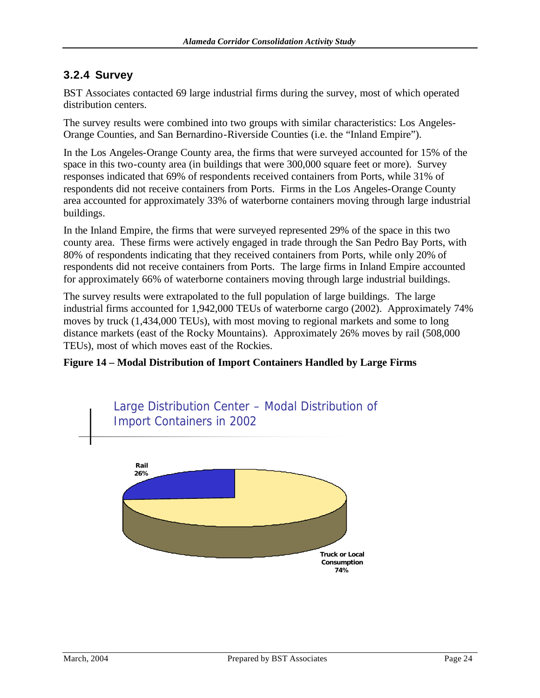### **3.2.4 Survey**

BST Associates contacted 69 large industrial firms during the survey, most of which operated distribution centers.

The survey results were combined into two groups with similar characteristics: Los Angeles-Orange Counties, and San Bernardino-Riverside Counties (i.e. the "Inland Empire").

In the Los Angeles-Orange County area, the firms that were surveyed accounted for 15% of the space in this two-county area (in buildings that were 300,000 square feet or more). Survey responses indicated that 69% of respondents received containers from Ports, while 31% of respondents did not receive containers from Ports. Firms in the Los Angeles-Orange County area accounted for approximately 33% of waterborne containers moving through large industrial buildings.

In the Inland Empire, the firms that were surveyed represented 29% of the space in this two county area. These firms were actively engaged in trade through the San Pedro Bay Ports, with 80% of respondents indicating that they received containers from Ports, while only 20% of respondents did not receive containers from Ports. The large firms in Inland Empire accounted for approximately 66% of waterborne containers moving through large industrial buildings.

The survey results were extrapolated to the full population of large buildings. The large industrial firms accounted for 1,942,000 TEUs of waterborne cargo (2002). Approximately 74% moves by truck (1,434,000 TEUs), with most moving to regional markets and some to long distance markets (east of the Rocky Mountains). Approximately 26% moves by rail (508,000 TEUs), most of which moves east of the Rockies.

#### **Figure 14 – Modal Distribution of Import Containers Handled by Large Firms**

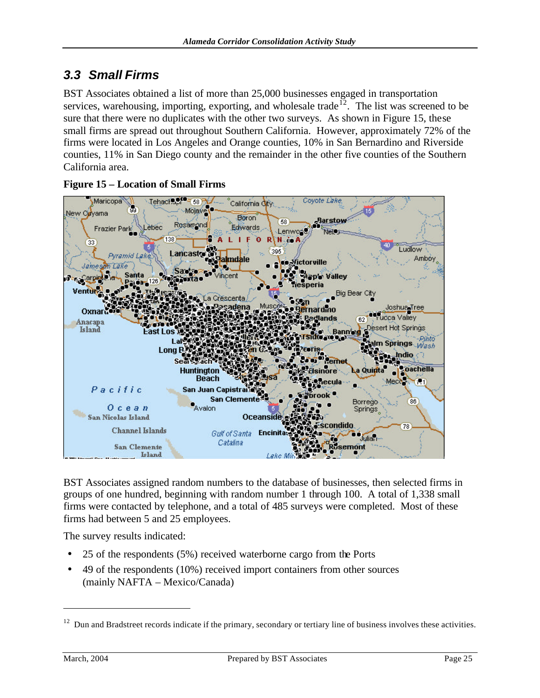# *3.3 Small Firms*

BST Associates obtained a list of more than 25,000 businesses engaged in transportation services, warehousing, importing, exporting, and wholesale trade<sup>12</sup>. The list was screened to be sure that there were no duplicates with the other two surveys. As shown in Figure 15, these small firms are spread out throughout Southern California. However, approximately 72% of the firms were located in Los Angeles and Orange counties, 10% in San Bernardino and Riverside counties, 11% in San Diego county and the remainder in the other five counties of the Southern California area.



**Figure 15 – Location of Small Firms**

BST Associates assigned random numbers to the database of businesses, then selected firms in groups of one hundred, beginning with random number 1 through 100. A total of 1,338 small firms were contacted by telephone, and a total of 485 surveys were completed. Most of these firms had between 5 and 25 employees.

The survey results indicated:

- 25 of the respondents (5%) received waterborne cargo from the Ports
- 49 of the respondents (10%) received import containers from other sources (mainly NAFTA – Mexico/Canada)

 $12$  Dun and Bradstreet records indicate if the primary, secondary or tertiary line of business involves these activities.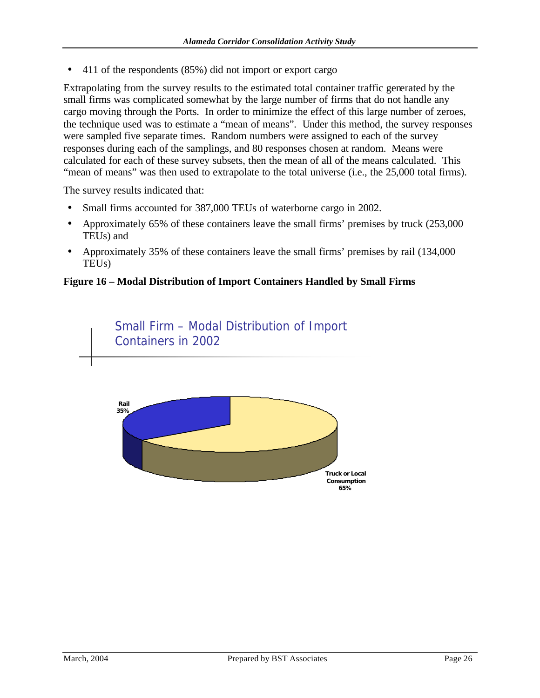• 411 of the respondents (85%) did not import or export cargo

Extrapolating from the survey results to the estimated total container traffic generated by the small firms was complicated somewhat by the large number of firms that do not handle any cargo moving through the Ports. In order to minimize the effect of this large number of zeroes, the technique used was to estimate a "mean of means". Under this method, the survey responses were sampled five separate times. Random numbers were assigned to each of the survey responses during each of the samplings, and 80 responses chosen at random. Means were calculated for each of these survey subsets, then the mean of all of the means calculated. This "mean of means" was then used to extrapolate to the total universe (i.e., the 25,000 total firms).

The survey results indicated that:

- Small firms accounted for 387,000 TEUs of waterborne cargo in 2002.
- Approximately 65% of these containers leave the small firms' premises by truck (253,000) TEUs) and
- Approximately 35% of these containers leave the small firms' premises by rail (134,000) TEUs)

#### **Figure 16 – Modal Distribution of Import Containers Handled by Small Firms**

Small Firm – Modal Distribution of Import Containers in 2002

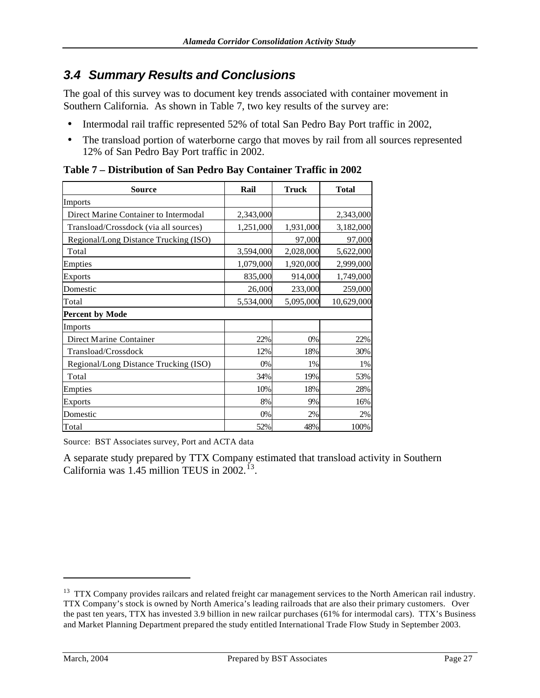# *3.4 Summary Results and Conclusions*

The goal of this survey was to document key trends associated with container movement in Southern California. As shown in Table 7, two key results of the survey are:

- Intermodal rail traffic represented 52% of total San Pedro Bay Port traffic in 2002,
- The transload portion of waterborne cargo that moves by rail from all sources represented 12% of San Pedro Bay Port traffic in 2002.

| <b>Source</b>                         | Rail      | <b>Truck</b> | <b>Total</b> |
|---------------------------------------|-----------|--------------|--------------|
| Imports                               |           |              |              |
| Direct Marine Container to Intermodal | 2,343,000 |              | 2,343,000    |
| Transload/Crossdock (via all sources) | 1,251,000 | 1,931,000    | 3,182,000    |
| Regional/Long Distance Trucking (ISO) |           | 97,000       | 97,000       |
| Total                                 | 3,594,000 | 2,028,000    | 5,622,000    |
| Empties                               | 1,079,000 | 1,920,000    | 2,999,000    |
| Exports                               | 835,000   | 914,000      | 1,749,000    |
| Domestic                              | 26,000    | 233,000      | 259,000      |
| Total                                 | 5,534,000 | 5,095,000    | 10,629,000   |
| Percent by Mode                       |           |              |              |
| Imports                               |           |              |              |
| Direct Marine Container               | 22%       | 0%           | 22%          |
| Transload/Crossdock                   | 12%       | 18%          | 30%          |
| Regional/Long Distance Trucking (ISO) | 0%        | 1%           | 1%           |
| Total                                 | 34%       | 19%          | 53%          |
| Empties                               | 10%       | 18%          | 28%          |
| Exports                               | 8%        | 9%           | 16%          |
| Domestic                              | $0\%$     | 2%           | 2%           |
| Total                                 | 52%       | 48%          | 100%         |

**Table 7 – Distribution of San Pedro Bay Container Traffic in 2002**

Source: BST Associates survey, Port and ACTA data

A separate study prepared by TTX Company estimated that transload activity in Southern California was  $1.45$  million TEUS in 2002.<sup>13</sup>.

<sup>&</sup>lt;sup>13</sup> TTX Company provides railcars and related freight car management services to the North American rail industry. TTX Company's stock is owned by North America's leading railroads that are also their primary customers. Over the past ten years, TTX has invested 3.9 billion in new railcar purchases (61% for intermodal cars). TTX's Business and Market Planning Department prepared the study entitled International Trade Flow Study in September 2003.